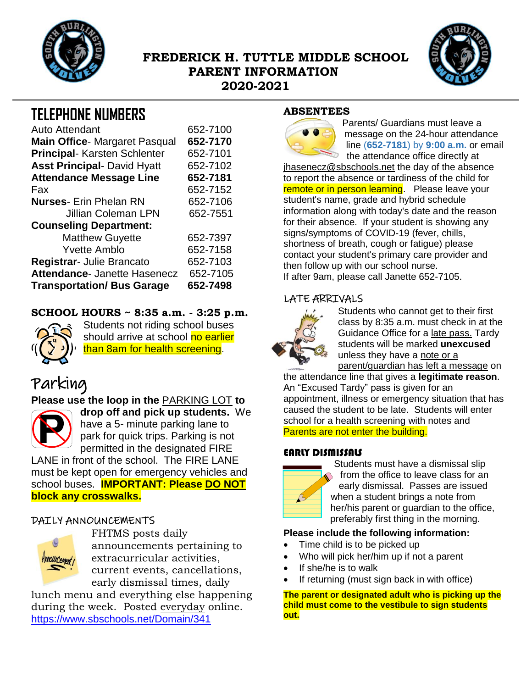

## **FREDERICK H. TUTTLE MIDDLE SCHOOL PARENT INFORMATION 2020-2021**



## **TELEPHONE NUMBERS**

| <b>Auto Attendant</b>                | 652-7100 |
|--------------------------------------|----------|
| <b>Main Office-</b> Margaret Pasqual | 652-7170 |
| <b>Principal-Karsten Schlenter</b>   | 652-7101 |
| <b>Asst Principal- David Hyatt</b>   | 652-7102 |
| <b>Attendance Message Line</b>       | 652-7181 |
| Fax                                  | 652-7152 |
| <b>Nurses-</b> Erin Phelan RN        | 652-7106 |
| <b>Jillian Coleman LPN</b>           | 652-7551 |
| <b>Counseling Department:</b>        |          |
| <b>Matthew Guyette</b>               | 652-7397 |
| <b>Yvette Amblo</b>                  | 652-7158 |
| Registrar- Julie Brancato            | 652-7103 |
| Attendance- Janette Hasenecz         | 652-7105 |
| <b>Transportation/ Bus Garage</b>    | 652-7498 |

#### **SCHOOL HOURS ~ 8:35 a.m. - 3:25 p.m.**



Students not riding school buses should arrive at school no earlier than 8am for health screening.

# Parking

## **Please use the loop in the** PARKING LOT **to**



**drop off and pick up students.** We have a 5- minute parking lane to park for quick trips. Parking is not permitted in the designated FIRE

LANE in front of the school. The FIRE LANE must be kept open for emergency vehicles and school buses. **IMPORTANT: Please DO NOT block any crosswalks.**

## DAILY ANNOUNCEMENTS



FHTMS posts daily announcements pertaining to extracurricular activities, current events, cancellations, early dismissal times, daily

lunch menu and everything else happening during the week. Posted everyday online. <https://www.sbschools.net/Domain/341>

#### **ABSENTEES**



Parents/ Guardians must leave a message on the 24-hour attendance line (**652-7181**) by **9:00 a.m.** or email the attendance office directly at

jhasenecz@sbschools.net the day of the absence to report the absence or tardiness of the child for remote or in person learning. Please leave your student's name, grade and hybrid schedule information along with today's date and the reason for their absence. If your student is showing any signs/symptoms of COVID-19 (fever, chills, shortness of breath, cough or fatigue) please contact your student's primary care provider and then follow up with our school nurse. If after 9am, please call Janette 652-7105.

#### LATE ARRIVALS



Students who cannot get to their first class by 8:35 a.m. must check in at the Guidance Office for a late pass. Tardy students will be marked **unexcused** unless they have a note or a parent/guardian has left a message on

the attendance line that gives a **legitimate reason**. An "Excused Tardy" pass is given for an appointment, illness or emergency situation that has caused the student to be late. Students will enter school for a health screening with notes and Parents are not enter the building.

#### EARLY DISMISSALS



Students must have a dismissal slip from the office to leave class for an early dismissal. Passes are issued when a student brings a note from her/his parent or guardian to the office, preferably first thing in the morning.

#### **Please include the following information:**

- Time child is to be picked up
- Who will pick her/him up if not a parent
- If she/he is to walk
- If returning (must sign back in with office)

**The parent or designated adult who is picking up the child must come to the vestibule to sign students out.**